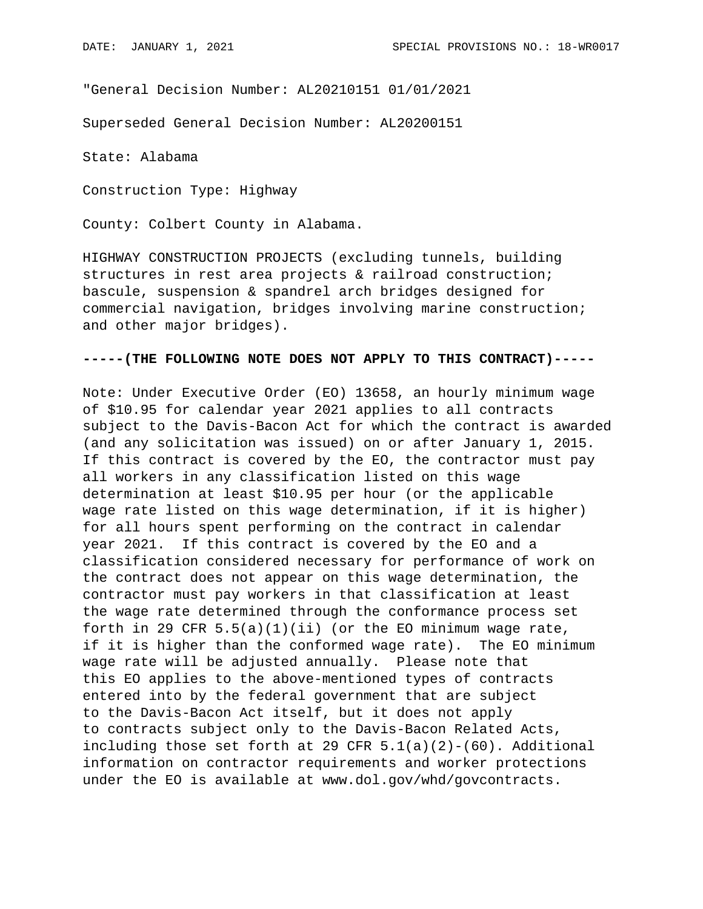"General Decision Number: AL20210151 01/01/2021

Superseded General Decision Number: AL20200151

State: Alabama

Construction Type: Highway

County: Colbert County in Alabama.

HIGHWAY CONSTRUCTION PROJECTS (excluding tunnels, building structures in rest area projects & railroad construction; bascule, suspension & spandrel arch bridges designed for commercial navigation, bridges involving marine construction; and other major bridges).

## **-----(THE FOLLOWING NOTE DOES NOT APPLY TO THIS CONTRACT)-----**

Note: Under Executive Order (EO) 13658, an hourly minimum wage of \$10.95 for calendar year 2021 applies to all contracts subject to the Davis-Bacon Act for which the contract is awarded (and any solicitation was issued) on or after January 1, 2015. If this contract is covered by the EO, the contractor must pay all workers in any classification listed on this wage determination at least \$10.95 per hour (or the applicable wage rate listed on this wage determination, if it is higher) for all hours spent performing on the contract in calendar year 2021. If this contract is covered by the EO and a classification considered necessary for performance of work on the contract does not appear on this wage determination, the contractor must pay workers in that classification at least the wage rate determined through the conformance process set forth in 29 CFR  $5.5(a)(1)(ii)$  (or the EO minimum wage rate, if it is higher than the conformed wage rate). The EO minimum wage rate will be adjusted annually. Please note that this EO applies to the above-mentioned types of contracts entered into by the federal government that are subject to the Davis-Bacon Act itself, but it does not apply to contracts subject only to the Davis-Bacon Related Acts, including those set forth at 29 CFR  $5.1(a)(2)-(60)$ . Additional information on contractor requirements and worker protections under the EO is available at www.dol.gov/whd/govcontracts.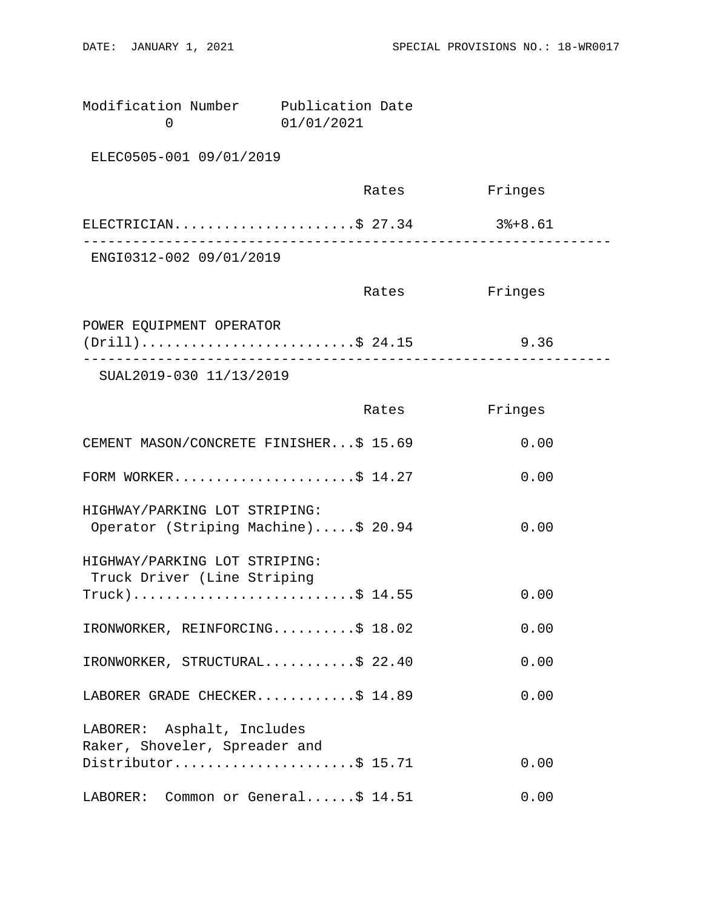| Modification Number<br>0                                                       | Publication Date<br>01/01/2021      |         |  |  |
|--------------------------------------------------------------------------------|-------------------------------------|---------|--|--|
| ELEC0505-001 09/01/2019                                                        |                                     |         |  |  |
|                                                                                | Rates                               | Fringes |  |  |
| ELECTRICIAN\$ 27.34 3%+8.61                                                    | . _ _ _ _ _ _ _ _ _ _ _ _ _ _ _ _ _ |         |  |  |
| ENGI0312-002 09/01/2019                                                        |                                     |         |  |  |
|                                                                                | Rates                               | Fringes |  |  |
| POWER EQUIPMENT OPERATOR<br>$(Drill)$ \$ 24.15                                 |                                     | 9.36    |  |  |
| SUAL2019-030 11/13/2019                                                        |                                     |         |  |  |
|                                                                                | Rates                               | Fringes |  |  |
| CEMENT MASON/CONCRETE FINISHER\$ 15.69                                         |                                     | 0.00    |  |  |
| FORM WORKER\$ 14.27                                                            |                                     | 0.00    |  |  |
| HIGHWAY/PARKING LOT STRIPING:<br>Operator (Striping Machine)\$ 20.94           |                                     | 0.00    |  |  |
| HIGHWAY/PARKING LOT STRIPING:<br>Truck Driver (Line Striping<br>Truck)\$ 14.55 |                                     | 0.00    |  |  |
| IRONWORKER, REINFORCING\$ 18.02                                                |                                     | 0.00    |  |  |
| IRONWORKER, STRUCTURAL\$ 22.40                                                 |                                     | 0.00    |  |  |
| LABORER GRADE CHECKER\$ 14.89                                                  |                                     | 0.00    |  |  |
| LABORER: Asphalt, Includes<br>Raker, Shoveler, Spreader and                    |                                     |         |  |  |

LABORER: Common or General......\$ 14.51 0.00

Distributor.........................\$ 15.71 0.00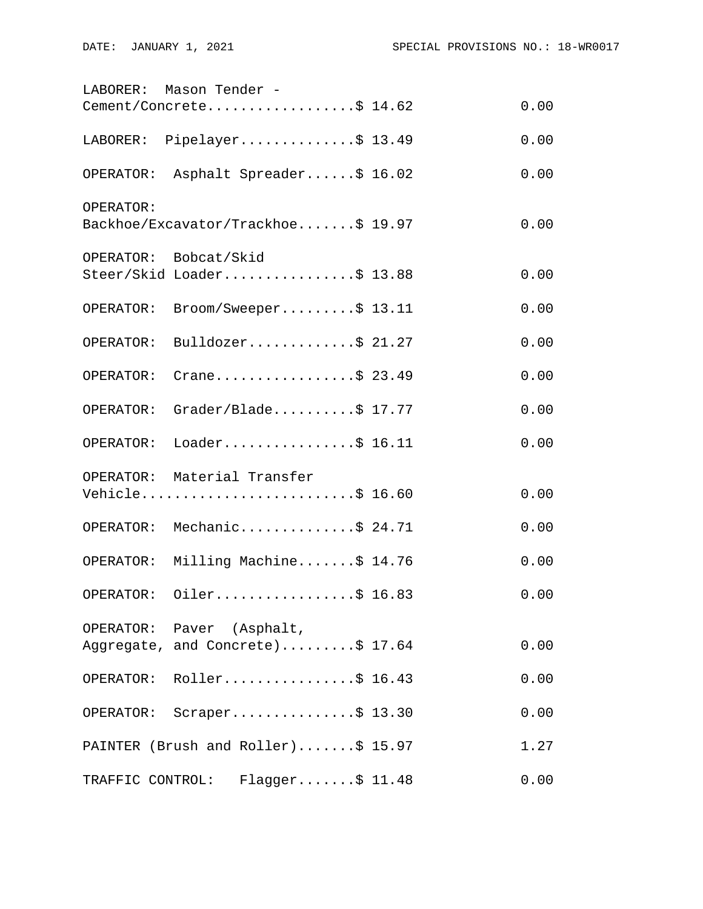|                  | LABORER: Mason Tender -                                       |      |
|------------------|---------------------------------------------------------------|------|
|                  | Cement/Concrete\$ 14.62                                       | 0.00 |
|                  | LABORER: Pipelayer\$ 13.49                                    | 0.00 |
|                  | OPERATOR: Asphalt Spreader\$ 16.02                            | 0.00 |
| OPERATOR:        | Backhoe/Excavator/Trackhoe\$ 19.97                            | 0.00 |
|                  | OPERATOR: Bobcat/Skid<br>Steer/Skid Loader\$ 13.88            | 0.00 |
| OPERATOR:        | $\texttt{Broom}/\texttt{Sweeper} \dots \dots \$ 13.11         | 0.00 |
| OPERATOR:        | Bulldozer\$ $21.27$                                           | 0.00 |
| OPERATOR:        | Crane\$ 23.49                                                 | 0.00 |
| OPERATOR:        | Grader/Blade\$ 17.77                                          | 0.00 |
|                  | OPERATOR: Loader\$ 16.11                                      | 0.00 |
|                  | OPERATOR: Material Transfer<br>Vehicle\$ 16.60                | 0.00 |
|                  | OPERATOR: Mechanic\$ 24.71                                    | 0.00 |
|                  | OPERATOR: Milling Machine\$ 14.76                             | 0.00 |
|                  | OPERATOR: $Oiler$ \$ 16.83                                    | 0.00 |
|                  | OPERATOR: Paver (Asphalt,<br>Aggregate, and Concrete)\$ 17.64 | 0.00 |
|                  | OPERATOR: Roller\$ 16.43                                      | 0.00 |
| OPERATOR:        | $Scraper \ldots \ldots \ldots \ldots \$ 13.30                 | 0.00 |
|                  | PAINTER (Brush and Roller)\$ 15.97                            | 1.27 |
| TRAFFIC CONTROL: | $Flagger$ \$ 11.48                                            | 0.00 |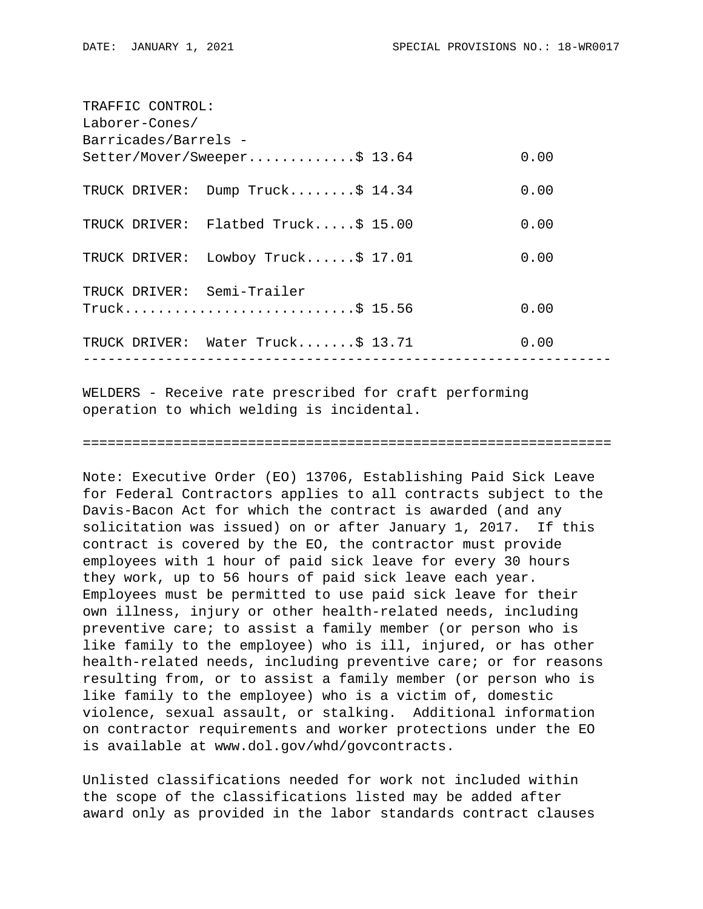| TRAFFIC CONTROL:           |                                     |  |      |  |  |
|----------------------------|-------------------------------------|--|------|--|--|
| Laborer-Cones/             |                                     |  |      |  |  |
| Barricades/Barrels -       |                                     |  |      |  |  |
|                            | Setter/Mover/Sweeper\$ 13.64        |  | 0.00 |  |  |
|                            | TRUCK DRIVER: Dump Truck\$ 14.34    |  | 0.00 |  |  |
|                            | TRUCK DRIVER: Flatbed Truck\$ 15.00 |  | 0.00 |  |  |
|                            | TRUCK DRIVER: Lowboy Truck\$ 17.01  |  | 0.00 |  |  |
| TRUCK DRIVER: Semi-Trailer |                                     |  |      |  |  |
|                            | Truck\$ 15.56                       |  | 0.00 |  |  |
|                            | TRUCK DRIVER: Water Truck\$ 13.71   |  | 0.00 |  |  |
|                            |                                     |  |      |  |  |

WELDERS - Receive rate prescribed for craft performing operation to which welding is incidental.

## ================================================================

Note: Executive Order (EO) 13706, Establishing Paid Sick Leave for Federal Contractors applies to all contracts subject to the Davis-Bacon Act for which the contract is awarded (and any solicitation was issued) on or after January 1, 2017. If this contract is covered by the EO, the contractor must provide employees with 1 hour of paid sick leave for every 30 hours they work, up to 56 hours of paid sick leave each year. Employees must be permitted to use paid sick leave for their own illness, injury or other health-related needs, including preventive care; to assist a family member (or person who is like family to the employee) who is ill, injured, or has other health-related needs, including preventive care; or for reasons resulting from, or to assist a family member (or person who is like family to the employee) who is a victim of, domestic violence, sexual assault, or stalking. Additional information on contractor requirements and worker protections under the EO is available at www.dol.gov/whd/govcontracts.

Unlisted classifications needed for work not included within the scope of the classifications listed may be added after award only as provided in the labor standards contract clauses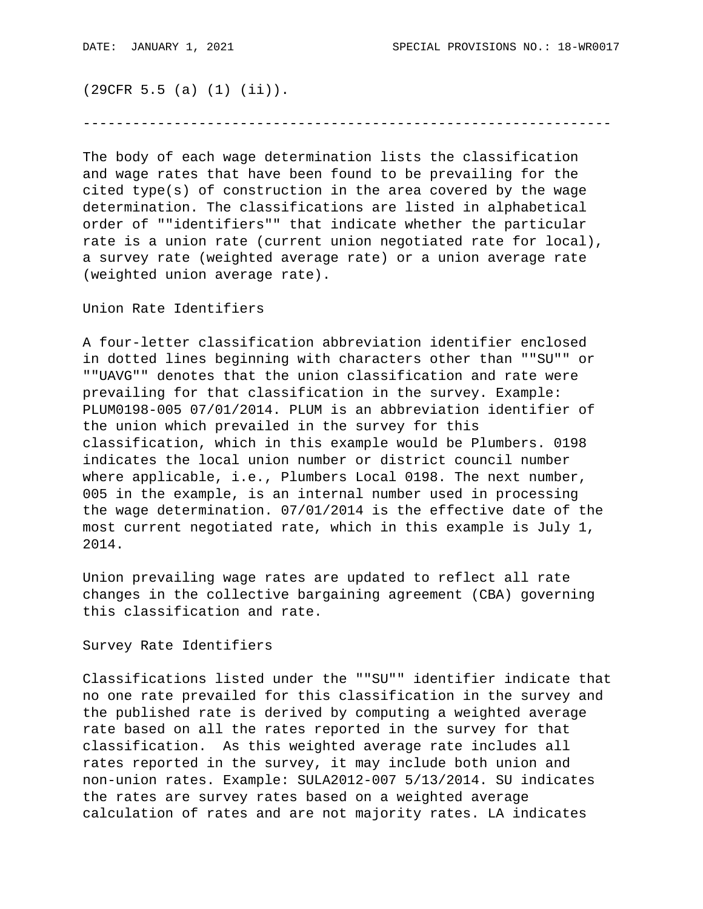(29CFR 5.5 (a) (1) (ii)).

----------------------------------------------------------------

The body of each wage determination lists the classification and wage rates that have been found to be prevailing for the cited type(s) of construction in the area covered by the wage determination. The classifications are listed in alphabetical order of ""identifiers"" that indicate whether the particular rate is a union rate (current union negotiated rate for local), a survey rate (weighted average rate) or a union average rate (weighted union average rate).

Union Rate Identifiers

A four-letter classification abbreviation identifier enclosed in dotted lines beginning with characters other than ""SU"" or ""UAVG"" denotes that the union classification and rate were prevailing for that classification in the survey. Example: PLUM0198-005 07/01/2014. PLUM is an abbreviation identifier of the union which prevailed in the survey for this classification, which in this example would be Plumbers. 0198 indicates the local union number or district council number where applicable, i.e., Plumbers Local 0198. The next number, 005 in the example, is an internal number used in processing the wage determination. 07/01/2014 is the effective date of the most current negotiated rate, which in this example is July 1, 2014.

Union prevailing wage rates are updated to reflect all rate changes in the collective bargaining agreement (CBA) governing this classification and rate.

Survey Rate Identifiers

Classifications listed under the ""SU"" identifier indicate that no one rate prevailed for this classification in the survey and the published rate is derived by computing a weighted average rate based on all the rates reported in the survey for that classification. As this weighted average rate includes all rates reported in the survey, it may include both union and non-union rates. Example: SULA2012-007 5/13/2014. SU indicates the rates are survey rates based on a weighted average calculation of rates and are not majority rates. LA indicates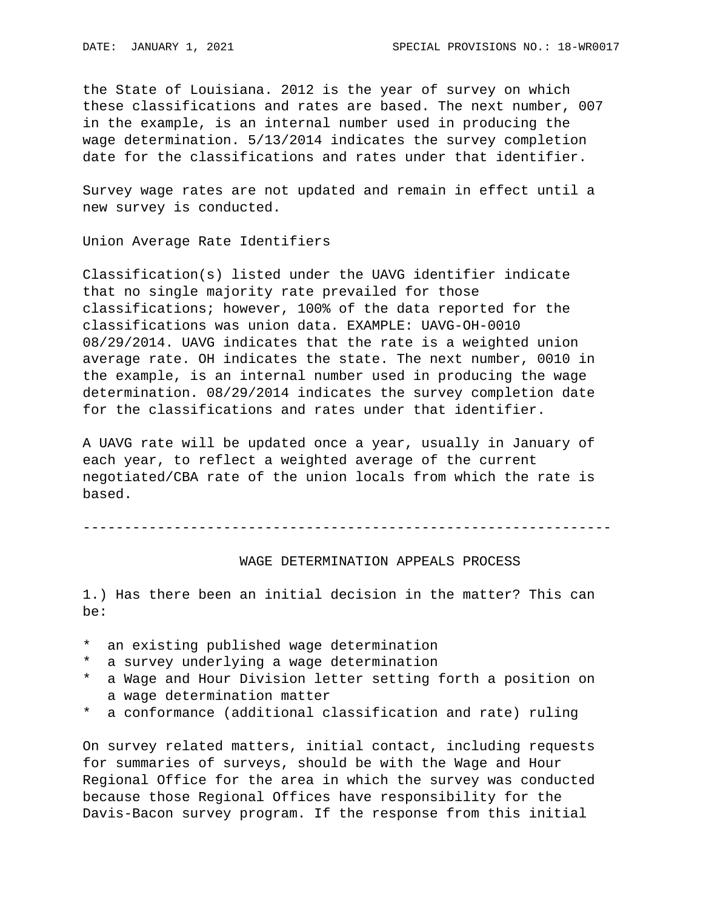the State of Louisiana. 2012 is the year of survey on which these classifications and rates are based. The next number, 007 in the example, is an internal number used in producing the wage determination. 5/13/2014 indicates the survey completion date for the classifications and rates under that identifier.

Survey wage rates are not updated and remain in effect until a new survey is conducted.

Union Average Rate Identifiers

Classification(s) listed under the UAVG identifier indicate that no single majority rate prevailed for those classifications; however, 100% of the data reported for the classifications was union data. EXAMPLE: UAVG-OH-0010 08/29/2014. UAVG indicates that the rate is a weighted union average rate. OH indicates the state. The next number, 0010 in the example, is an internal number used in producing the wage determination. 08/29/2014 indicates the survey completion date for the classifications and rates under that identifier.

A UAVG rate will be updated once a year, usually in January of each year, to reflect a weighted average of the current negotiated/CBA rate of the union locals from which the rate is based.

----------------------------------------------------------------

## WAGE DETERMINATION APPEALS PROCESS

1.) Has there been an initial decision in the matter? This can be:

- \* an existing published wage determination
- \* a survey underlying a wage determination
- \* a Wage and Hour Division letter setting forth a position on a wage determination matter
- \* a conformance (additional classification and rate) ruling

On survey related matters, initial contact, including requests for summaries of surveys, should be with the Wage and Hour Regional Office for the area in which the survey was conducted because those Regional Offices have responsibility for the Davis-Bacon survey program. If the response from this initial